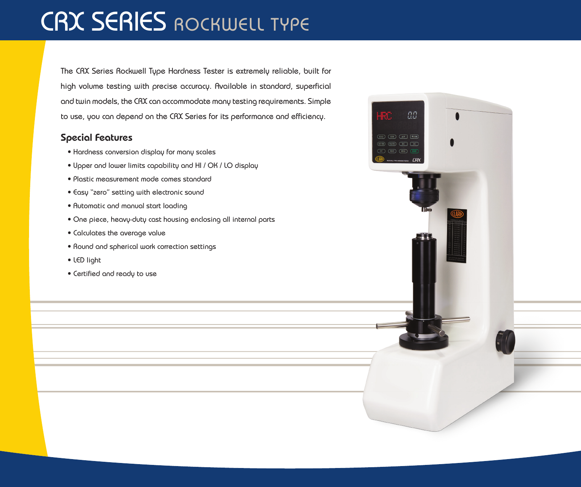## CRX SERIES ROCKWELL TYPE

The CRX Series Rockwell Type Hardness Tester is extremely reliable, built for high volume testing with precise accuracy. Available in standard, superficial and twin models, the CRX can accommodate many testing requirements. Simple to use, you can depend on the CRX Series for its performance and efficiency.

## Special Features

- Hardness conversion display for many scales
- Upper and lower limits capability and HI / OK / LO display
- Plastic measurement mode comes standard
- Easy "zero" setting with electronic sound
- Automatic and manual start loading
- One piece, heavy-duty cast housing enclosing all internal parts
- Calculates the average value
- Round and spherical work correction settings
- LED light
- Certified and ready to use